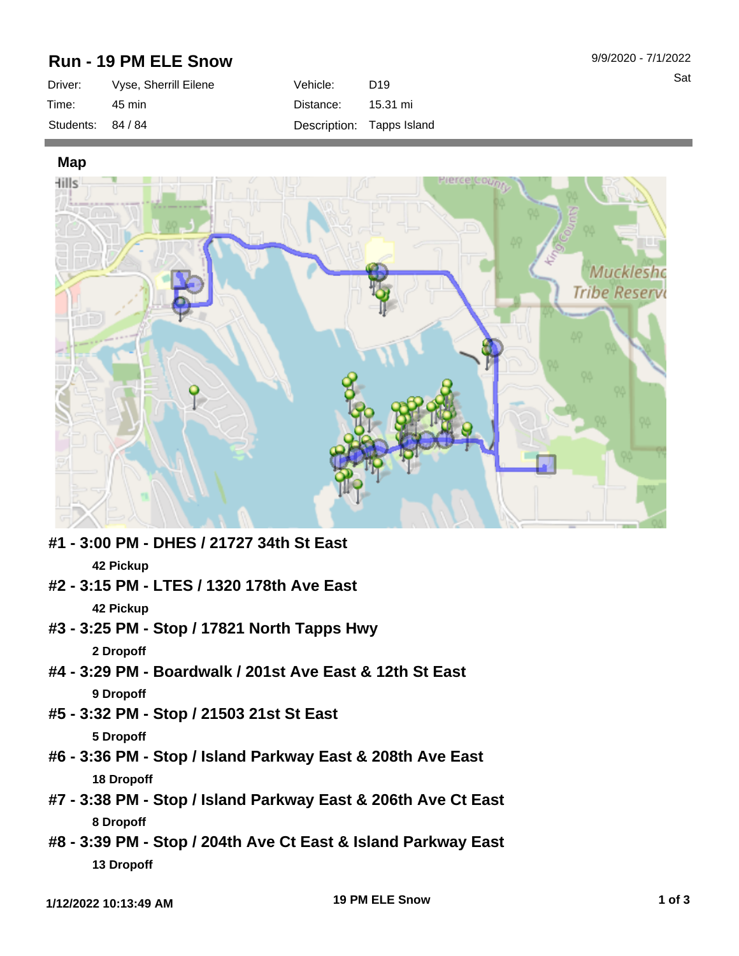## **Run - 19 PM ELE Snow**

| Driver:           | Vyse, Sherrill Eilene | Vehicle:  | D <sub>19</sub>           |
|-------------------|-----------------------|-----------|---------------------------|
| Time:             | 45 min                | Distance: | 15.31 mi                  |
| Students: 84 / 84 |                       |           | Description: Tapps Island |

**Map**



- **#1 3:00 PM DHES / 21727 34th St East 42 Pickup**
- **#2 3:15 PM LTES / 1320 178th Ave East 42 Pickup**
- **#3 3:25 PM Stop / 17821 North Tapps Hwy 2 Dropoff**
- **#4 3:29 PM Boardwalk / 201st Ave East & 12th St East 9 Dropoff**
- **#5 3:32 PM Stop / 21503 21st St East 5 Dropoff**
- **#6 3:36 PM Stop / Island Parkway East & 208th Ave East 18 Dropoff**
- **#7 3:38 PM Stop / Island Parkway East & 206th Ave Ct East 8 Dropoff**
- **#8 3:39 PM Stop / 204th Ave Ct East & Island Parkway East 13 Dropoff**